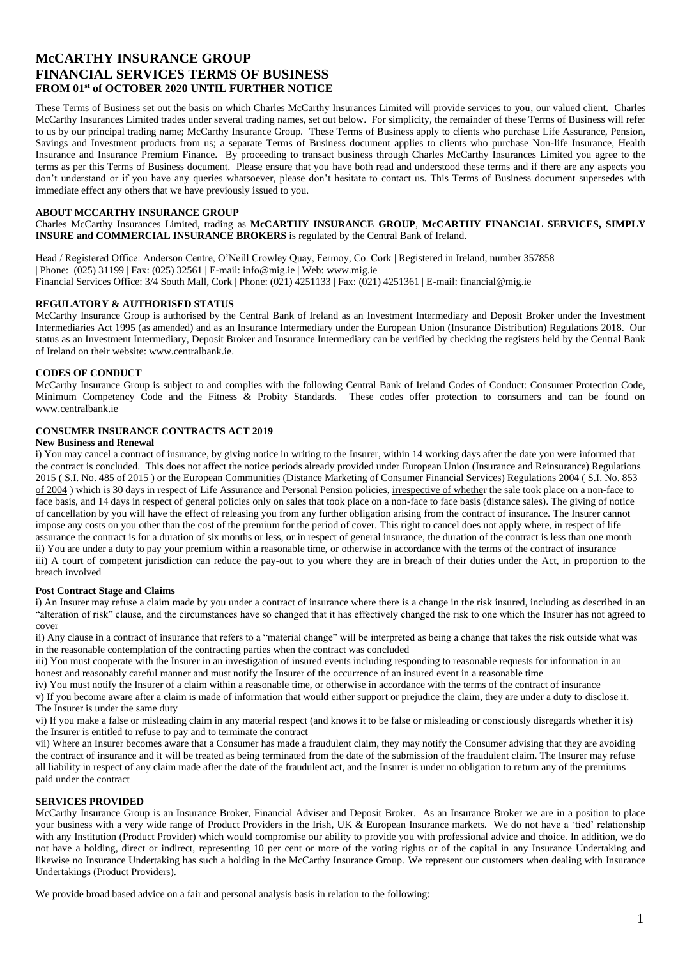# **McCARTHY INSURANCE GROUP FINANCIAL SERVICES TERMS OF BUSINESS FROM 01st of OCTOBER 2020 UNTIL FURTHER NOTICE**

These Terms of Business set out the basis on which Charles McCarthy Insurances Limited will provide services to you, our valued client. Charles McCarthy Insurances Limited trades under several trading names, set out below. For simplicity, the remainder of these Terms of Business will refer to us by our principal trading name; McCarthy Insurance Group. These Terms of Business apply to clients who purchase Life Assurance, Pension, Savings and Investment products from us; a separate Terms of Business document applies to clients who purchase Non-life Insurance, Health Insurance and Insurance Premium Finance. By proceeding to transact business through Charles McCarthy Insurances Limited you agree to the terms as per this Terms of Business document. Please ensure that you have both read and understood these terms and if there are any aspects you don't understand or if you have any queries whatsoever, please don't hesitate to contact us. This Terms of Business document supersedes with immediate effect any others that we have previously issued to you.

## **ABOUT MCCARTHY INSURANCE GROUP**

Charles McCarthy Insurances Limited, trading as **McCARTHY INSURANCE GROUP**, **McCARTHY FINANCIAL SERVICES, SIMPLY INSURE and COMMERCIAL INSURANCE BROKERS** is regulated by the Central Bank of Ireland.

Head / Registered Office: Anderson Centre, O'Neill Crowley Quay, Fermoy, Co. Cork | Registered in Ireland, number 357858 | Phone: (025) 31199 | Fax: (025) 32561 | E-mail: info@mig.ie | Web: www.mig.ie Financial Services Office: 3/4 South Mall, Cork | Phone: (021) 4251133 | Fax: (021) 4251361 | E-mail: financial@mig.ie

## **REGULATORY & AUTHORISED STATUS**

McCarthy Insurance Group is authorised by the Central Bank of Ireland as an Investment Intermediary and Deposit Broker under the Investment Intermediaries Act 1995 (as amended) and as an Insurance Intermediary under the European Union (Insurance Distribution) Regulations 2018. Our status as an Investment Intermediary, Deposit Broker and Insurance Intermediary can be verified by checking the registers held by the Central Bank of Ireland on their website: www.centralbank.ie.

### **CODES OF CONDUCT**

McCarthy Insurance Group is subject to and complies with the following Central Bank of Ireland Codes of Conduct: Consumer Protection Code, Minimum Competency Code and the Fitness & Probity Standards. These codes offer protection to consumers and can be found on www.centralbank.ie

## **CONSUMER INSURANCE CONTRACTS ACT 2019**

### **New Business and Renewal**

i) You may cancel a contract of insurance, by giving notice in writing to the Insurer, within 14 working days after the date you were informed that the contract is concluded. This does not affect the notice periods already provided under European Union (Insurance and Reinsurance) Regulations 2015 ( [S.I. No. 485 of 2015](http://www.irishstatutebook.ie/2015/en/si/0485.html) ) or the European Communities (Distance Marketing of Consumer Financial Services) Regulations 2004 ( [S.I. No. 853](http://www.irishstatutebook.ie/2004/en/si/0853.html)  [of 2004](http://www.irishstatutebook.ie/2004/en/si/0853.html) ) which is 30 days in respect of Life Assurance and Personal Pension policies, irrespective of whether the sale took place on a non-face to face basis, and 14 days in respect of general policies only on sales that took place on a non-face to face basis (distance sales). The giving of notice of cancellation by you will have the effect of releasing you from any further obligation arising from the contract of insurance. The Insurer cannot impose any costs on you other than the cost of the premium for the period of cover. This right to cancel does not apply where, in respect of life assurance the contract is for a duration of six months or less, or in respect of general insurance, the duration of the contract is less than one month ii) You are under a duty to pay your premium within a reasonable time, or otherwise in accordance with the terms of the contract of insurance iii) A court of competent jurisdiction can reduce the pay-out to you where they are in breach of their duties under the Act, in proportion to the breach involved

#### **Post Contract Stage and Claims**

i) An Insurer may refuse a claim made by you under a contract of insurance where there is a change in the risk insured, including as described in an "alteration of risk" clause, and the circumstances have so changed that it has effectively changed the risk to one which the Insurer has not agreed to cover

ii) Any clause in a contract of insurance that refers to a "material change" will be interpreted as being a change that takes the risk outside what was in the reasonable contemplation of the contracting parties when the contract was concluded

iii) You must cooperate with the Insurer in an investigation of insured events including responding to reasonable requests for information in an honest and reasonably careful manner and must notify the Insurer of the occurrence of an insured event in a reasonable time

iv) You must notify the Insurer of a claim within a reasonable time, or otherwise in accordance with the terms of the contract of insurance

v) If you become aware after a claim is made of information that would either support or prejudice the claim, they are under a duty to disclose it. The Insurer is under the same duty

vi) If you make a false or misleading claim in any material respect (and knows it to be false or misleading or consciously disregards whether it is) the Insurer is entitled to refuse to pay and to terminate the contract

vii) Where an Insurer becomes aware that a Consumer has made a fraudulent claim, they may notify the Consumer advising that they are avoiding the contract of insurance and it will be treated as being terminated from the date of the submission of the fraudulent claim. The Insurer may refuse all liability in respect of any claim made after the date of the fraudulent act, and the Insurer is under no obligation to return any of the premiums paid under the contract

## **SERVICES PROVIDED**

McCarthy Insurance Group is an Insurance Broker, Financial Adviser and Deposit Broker. As an Insurance Broker we are in a position to place your business with a very wide range of Product Providers in the Irish, UK & European Insurance markets. We do not have a 'tied' relationship with any Institution (Product Provider) which would compromise our ability to provide you with professional advice and choice. In addition, we do not have a holding, direct or indirect, representing 10 per cent or more of the voting rights or of the capital in any Insurance Undertaking and likewise no Insurance Undertaking has such a holding in the McCarthy Insurance Group. We represent our customers when dealing with Insurance Undertakings (Product Providers).

We provide broad based advice on a fair and personal analysis basis in relation to the following: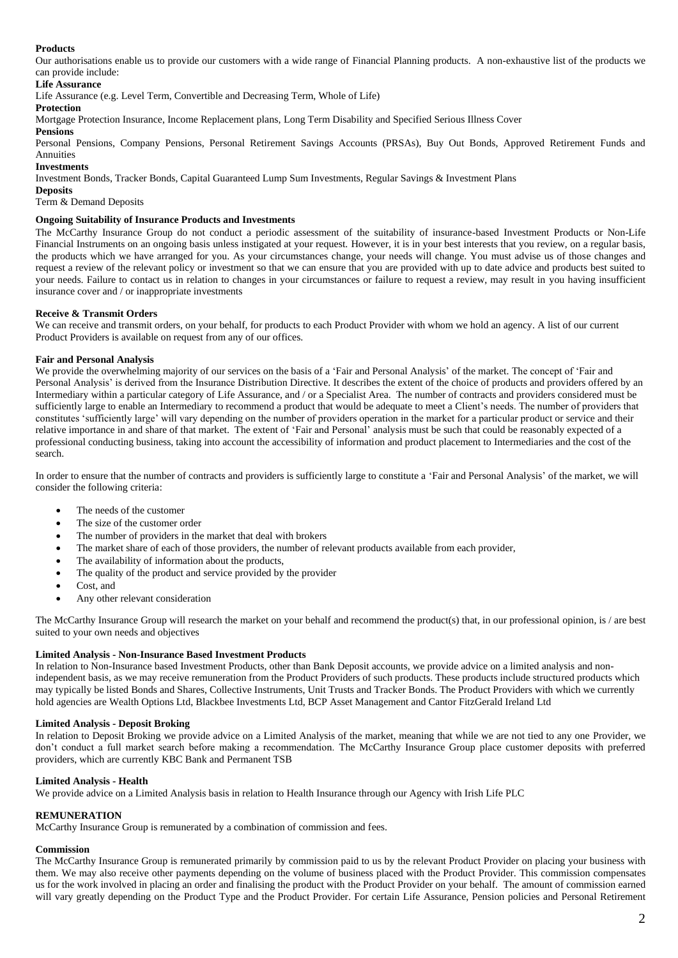## **Products**

Our authorisations enable us to provide our customers with a wide range of Financial Planning products. A non-exhaustive list of the products we can provide include:

## **Life Assurance**

Life Assurance (e.g. Level Term, Convertible and Decreasing Term, Whole of Life)

# **Protection**

Mortgage Protection Insurance, Income Replacement plans, Long Term Disability and Specified Serious Illness Cover

### **Pensions**

Personal Pensions, Company Pensions, Personal Retirement Savings Accounts (PRSAs), Buy Out Bonds, Approved Retirement Funds and Annuities

# **Investments**

Investment Bonds, Tracker Bonds, Capital Guaranteed Lump Sum Investments, Regular Savings & Investment Plans

## **Deposits**

Term & Demand Deposits

# **Ongoing Suitability of Insurance Products and Investments**

The McCarthy Insurance Group do not conduct a periodic assessment of the suitability of insurance-based Investment Products or Non-Life Financial Instruments on an ongoing basis unless instigated at your request. However, it is in your best interests that you review, on a regular basis, the products which we have arranged for you. As your circumstances change, your needs will change. You must advise us of those changes and request a review of the relevant policy or investment so that we can ensure that you are provided with up to date advice and products best suited to your needs. Failure to contact us in relation to changes in your circumstances or failure to request a review, may result in you having insufficient insurance cover and / or inappropriate investments

## **Receive & Transmit Orders**

We can receive and transmit orders, on your behalf, for products to each Product Provider with whom we hold an agency. A list of our current Product Providers is available on request from any of our offices.

## **Fair and Personal Analysis**

We provide the overwhelming majority of our services on the basis of a 'Fair and Personal Analysis' of the market. The concept of 'Fair and Personal Analysis' is derived from the Insurance Distribution Directive. It describes the extent of the choice of products and providers offered by an Intermediary within a particular category of Life Assurance, and / or a Specialist Area. The number of contracts and providers considered must be sufficiently large to enable an Intermediary to recommend a product that would be adequate to meet a Client's needs. The number of providers that constitutes 'sufficiently large' will vary depending on the number of providers operation in the market for a particular product or service and their relative importance in and share of that market. The extent of 'Fair and Personal' analysis must be such that could be reasonably expected of a professional conducting business, taking into account the accessibility of information and product placement to Intermediaries and the cost of the search.

In order to ensure that the number of contracts and providers is sufficiently large to constitute a 'Fair and Personal Analysis' of the market, we will consider the following criteria:

- The needs of the customer
- The size of the customer order
- The number of providers in the market that deal with brokers
- The market share of each of those providers, the number of relevant products available from each provider,
- The availability of information about the products,
- The quality of the product and service provided by the provider
- Cost, and
- Any other relevant consideration

The McCarthy Insurance Group will research the market on your behalf and recommend the product(s) that, in our professional opinion, is / are best suited to your own needs and objectives

## **Limited Analysis - Non-Insurance Based Investment Products**

In relation to Non-Insurance based Investment Products, other than Bank Deposit accounts, we provide advice on a limited analysis and nonindependent basis, as we may receive remuneration from the Product Providers of such products. These products include structured products which may typically be listed Bonds and Shares, Collective Instruments, Unit Trusts and Tracker Bonds. The Product Providers with which we currently hold agencies are Wealth Options Ltd, Blackbee Investments Ltd, BCP Asset Management and Cantor FitzGerald Ireland Ltd

## **Limited Analysis - Deposit Broking**

In relation to Deposit Broking we provide advice on a Limited Analysis of the market, meaning that while we are not tied to any one Provider, we don't conduct a full market search before making a recommendation. The McCarthy Insurance Group place customer deposits with preferred providers, which are currently KBC Bank and Permanent TSB

# **Limited Analysis - Health**

We provide advice on a Limited Analysis basis in relation to Health Insurance through our Agency with Irish Life PLC

## **REMUNERATION**

McCarthy Insurance Group is remunerated by a combination of commission and fees.

# **Commission**

The McCarthy Insurance Group is remunerated primarily by commission paid to us by the relevant Product Provider on placing your business with them. We may also receive other payments depending on the volume of business placed with the Product Provider. This commission compensates us for the work involved in placing an order and finalising the product with the Product Provider on your behalf. The amount of commission earned will vary greatly depending on the Product Type and the Product Provider. For certain Life Assurance, Pension policies and Personal Retirement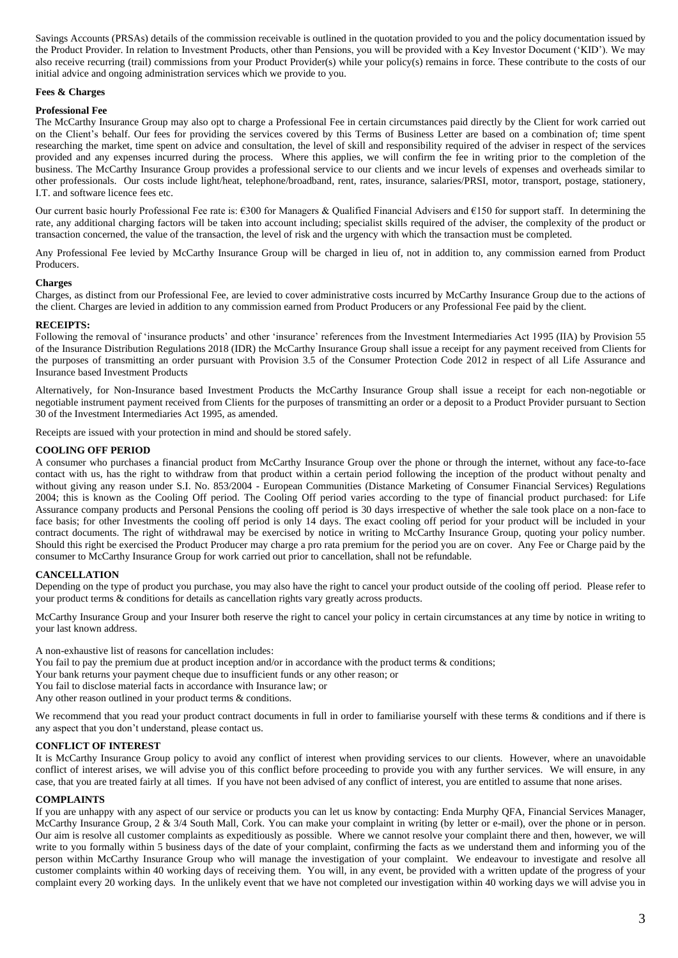Savings Accounts (PRSAs) details of the commission receivable is outlined in the quotation provided to you and the policy documentation issued by the Product Provider. In relation to Investment Products, other than Pensions, you will be provided with a Key Investor Document ('KID'). We may also receive recurring (trail) commissions from your Product Provider(s) while your policy(s) remains in force. These contribute to the costs of our initial advice and ongoing administration services which we provide to you.

## **Fees & Charges**

## **Professional Fee**

The McCarthy Insurance Group may also opt to charge a Professional Fee in certain circumstances paid directly by the Client for work carried out on the Client's behalf. Our fees for providing the services covered by this Terms of Business Letter are based on a combination of; time spent researching the market, time spent on advice and consultation, the level of skill and responsibility required of the adviser in respect of the services provided and any expenses incurred during the process. Where this applies, we will confirm the fee in writing prior to the completion of the business. The McCarthy Insurance Group provides a professional service to our clients and we incur levels of expenses and overheads similar to other professionals. Our costs include light/heat, telephone/broadband, rent, rates, insurance, salaries/PRSI, motor, transport, postage, stationery, I.T. and software licence fees etc.

Our current basic hourly Professional Fee rate is:  $\epsilon$ 300 for Managers & Qualified Financial Advisers and  $\epsilon$ 150 for support staff. In determining the rate, any additional charging factors will be taken into account including; specialist skills required of the adviser, the complexity of the product or transaction concerned, the value of the transaction, the level of risk and the urgency with which the transaction must be completed.

Any Professional Fee levied by McCarthy Insurance Group will be charged in lieu of, not in addition to, any commission earned from Product Producers.

## **Charges**

Charges, as distinct from our Professional Fee, are levied to cover administrative costs incurred by McCarthy Insurance Group due to the actions of the client. Charges are levied in addition to any commission earned from Product Producers or any Professional Fee paid by the client.

### **RECEIPTS:**

Following the removal of 'insurance products' and other 'insurance' references from the Investment Intermediaries Act 1995 (IIA) by Provision 55 of the Insurance Distribution Regulations 2018 (IDR) the McCarthy Insurance Group shall issue a receipt for any payment received from Clients for the purposes of transmitting an order pursuant with Provision 3.5 of the Consumer Protection Code 2012 in respect of all Life Assurance and Insurance based Investment Products

Alternatively, for Non-Insurance based Investment Products the McCarthy Insurance Group shall issue a receipt for each non-negotiable or negotiable instrument payment received from Clients for the purposes of transmitting an order or a deposit to a Product Provider pursuant to Section 30 of the Investment Intermediaries Act 1995, as amended.

Receipts are issued with your protection in mind and should be stored safely.

## **COOLING OFF PERIOD**

A consumer who purchases a financial product from McCarthy Insurance Group over the phone or through the internet, without any face-to-face contact with us, has the right to withdraw from that product within a certain period following the inception of the product without penalty and without giving any reason under S.I. No. 853/2004 - European Communities (Distance Marketing of Consumer Financial Services) Regulations 2004; this is known as the Cooling Off period. The Cooling Off period varies according to the type of financial product purchased: for Life Assurance company products and Personal Pensions the cooling off period is 30 days irrespective of whether the sale took place on a non-face to face basis; for other Investments the cooling off period is only 14 days. The exact cooling off period for your product will be included in your contract documents. The right of withdrawal may be exercised by notice in writing to McCarthy Insurance Group, quoting your policy number. Should this right be exercised the Product Producer may charge a pro rata premium for the period you are on cover. Any Fee or Charge paid by the consumer to McCarthy Insurance Group for work carried out prior to cancellation, shall not be refundable.

## **CANCELLATION**

Depending on the type of product you purchase, you may also have the right to cancel your product outside of the cooling off period. Please refer to your product terms & conditions for details as cancellation rights vary greatly across products.

McCarthy Insurance Group and your Insurer both reserve the right to cancel your policy in certain circumstances at any time by notice in writing to your last known address.

A non-exhaustive list of reasons for cancellation includes:

- You fail to pay the premium due at product inception and/or in accordance with the product terms & conditions;
- Your bank returns your payment cheque due to insufficient funds or any other reason; or
- You fail to disclose material facts in accordance with Insurance law; or
- Any other reason outlined in your product terms & conditions.

We recommend that you read your product contract documents in full in order to familiarise yourself with these terms & conditions and if there is any aspect that you don't understand, please contact us.

## **CONFLICT OF INTEREST**

It is McCarthy Insurance Group policy to avoid any conflict of interest when providing services to our clients. However, where an unavoidable conflict of interest arises, we will advise you of this conflict before proceeding to provide you with any further services. We will ensure, in any case, that you are treated fairly at all times. If you have not been advised of any conflict of interest, you are entitled to assume that none arises.

## **COMPLAINTS**

If you are unhappy with any aspect of our service or products you can let us know by contacting: Enda Murphy QFA, Financial Services Manager, McCarthy Insurance Group, 2 & 3/4 South Mall, Cork. You can make your complaint in writing (by letter or e-mail), over the phone or in person. Our aim is resolve all customer complaints as expeditiously as possible. Where we cannot resolve your complaint there and then, however, we will write to you formally within 5 business days of the date of your complaint, confirming the facts as we understand them and informing you of the person within McCarthy Insurance Group who will manage the investigation of your complaint. We endeavour to investigate and resolve all customer complaints within 40 working days of receiving them. You will, in any event, be provided with a written update of the progress of your complaint every 20 working days. In the unlikely event that we have not completed our investigation within 40 working days we will advise you in